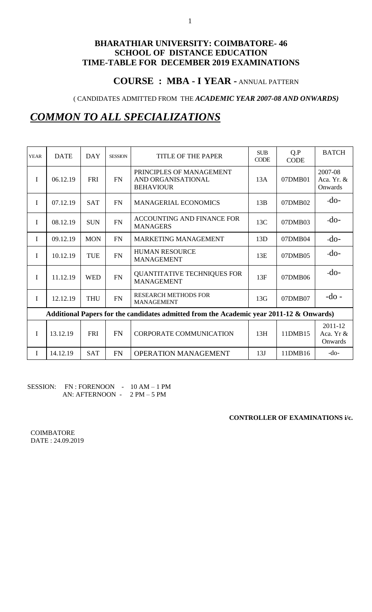# **COURSE : MBA - I YEAR -** ANNUAL PATTERN

( CANDIDATES ADMITTED FROM THE *ACADEMIC YEAR 2007-08 AND ONWARDS)*

# *COMMON TO ALL SPECIALIZATIONS*

| <b>YEAR</b> | <b>DATE</b>                                                                             | <b>DAY</b> | <b>SESSION</b> | <b>TITLE OF THE PAPER</b>                                          | <b>SUB</b><br><b>CODE</b> | Q.P<br><b>CODE</b> | <b>BATCH</b>                     |
|-------------|-----------------------------------------------------------------------------------------|------------|----------------|--------------------------------------------------------------------|---------------------------|--------------------|----------------------------------|
| $\mathbf I$ | 06.12.19                                                                                | <b>FRI</b> | <b>FN</b>      | PRINCIPLES OF MANAGEMENT<br>AND ORGANISATIONAL<br><b>BEHAVIOUR</b> | 13A                       | 07DMB01            | 2007-08<br>Aca. Yr. &<br>Onwards |
| I           | 07.12.19                                                                                | <b>SAT</b> | <b>FN</b>      | <b>MANAGERIAL ECONOMICS</b>                                        | 13B                       | 07DMB02            | $-do-$                           |
| I           | 08.12.19                                                                                | <b>SUN</b> | <b>FN</b>      | ACCOUNTING AND FINANCE FOR<br><b>MANAGERS</b>                      | 13C                       | 07DMB03            | $-do-$                           |
| I           | 09.12.19                                                                                | <b>MON</b> | <b>FN</b>      | <b>MARKETING MANAGEMENT</b>                                        | 13D                       | 07DMB04            | $-do-$                           |
| I           | 10.12.19                                                                                | <b>TUE</b> | <b>FN</b>      | <b>HUMAN RESOURCE</b><br><b>MANAGEMENT</b>                         | 13E                       | 07DMB05            | $-do-$                           |
| I           | 11.12.19                                                                                | <b>WED</b> | FN             | <b>QUANTITATIVE TECHNIQUES FOR</b><br><b>MANAGEMENT</b>            | 13F                       | 07DMB06            | $-do-$                           |
| I           | 12.12.19                                                                                | <b>THU</b> | <b>FN</b>      | <b>RESEARCH METHODS FOR</b><br><b>MANAGEMENT</b>                   | 13G                       | 07DMB07            | $-do$ -                          |
|             | Additional Papers for the candidates admitted from the Academic year 2011-12 & Onwards) |            |                |                                                                    |                           |                    |                                  |
| I           | 13.12.19                                                                                | <b>FRI</b> | <b>FN</b>      | <b>CORPORATE COMMUNICATION</b>                                     | 13H                       | 11DMB15            | 2011-12<br>Aca. Yr &<br>Onwards  |
| I           | 14.12.19                                                                                | <b>SAT</b> | <b>FN</b>      | OPERATION MANAGEMENT                                               | 13J                       | 11DMB16            | $-do-$                           |

### SESSION: FN : FORENOON - 10 AM – 1 PM AN: AFTERNOON - 2 PM – 5 PM

**CONTROLLER OF EXAMINATIONS i/c.**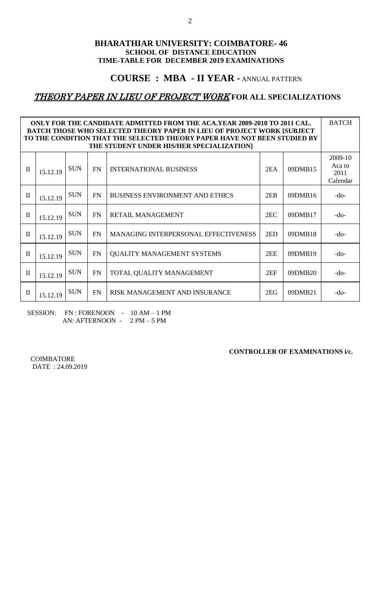## **COURSE : MBA - II YEAR -** ANNUAL PATTERN

# THEORY PAPER IN LIEU OF PROJECT WORK **FOR ALL SPECIALIZATIONS**

| ONLY FOR THE CANDIDATE ADMITTED FROM THE ACA.YEAR 2009-2010 TO 2011 CAL.<br><b>BATCH THOSE WHO SELECTED THEORY PAPER IN LIEU OF PROJECT WORK [SUBJECT</b><br>TO THE CONDITION THAT THE SELECTED THEORY PAPER HAVE NOT BEEN STUDIED BY<br>THE STUDENT UNDER HIS/HER SPECIALIZATION] |          |            |           |                                        |     |         |                                       |  |  |  |
|------------------------------------------------------------------------------------------------------------------------------------------------------------------------------------------------------------------------------------------------------------------------------------|----------|------------|-----------|----------------------------------------|-----|---------|---------------------------------------|--|--|--|
| $\mathbf{I}$                                                                                                                                                                                                                                                                       | 15.12.19 | <b>SUN</b> | <b>FN</b> | <b>INTERNATIONAL BUSINESS</b>          | 2EA | 09DMB15 | 2009-10<br>Aca to<br>2011<br>Calendar |  |  |  |
| $\mathbf{I}$                                                                                                                                                                                                                                                                       | 15.12.19 | <b>SUN</b> | <b>FN</b> | <b>BUSINESS ENVIRONMENT AND ETHICS</b> | 2EB | 09DMB16 | -do-                                  |  |  |  |
| $\mathbf{I}$                                                                                                                                                                                                                                                                       | 15.12.19 | <b>SUN</b> | <b>FN</b> | <b>RETAIL MANAGEMENT</b>               | 2EC | 09DMB17 | $-do-$                                |  |  |  |
| $\mathbf{I}$                                                                                                                                                                                                                                                                       | 15.12.19 | <b>SUN</b> | <b>FN</b> | MANAGING INTERPERSONAL EFFECTIVENESS   | 2ED | 09DMB18 | $-do-$                                |  |  |  |
| $\mathbf{I}$                                                                                                                                                                                                                                                                       | 15.12.19 | <b>SUN</b> | <b>FN</b> | <b>QUALITY MANAGEMENT SYSTEMS</b>      | 2EE | 09DMB19 | -do-                                  |  |  |  |
| <b>SUN</b><br>$\mathbf{I}$<br>FN<br>TOTAL QUALITY MANAGEMENT<br>2EF<br>09DMB20<br>15.12.19                                                                                                                                                                                         |          |            |           |                                        |     |         |                                       |  |  |  |
| $\mathbf{I}$                                                                                                                                                                                                                                                                       | 15.12.19 | <b>SUN</b> | FN        | RISK MANAGEMENT AND INSURANCE          | 2EG | 09DMB21 | -do-                                  |  |  |  |

SESSION: FN : FORENOON - 10 AM – 1 PM AN: AFTERNOON - 2 PM – 5 PM

**CONTROLLER OF EXAMINATIONS i/c.**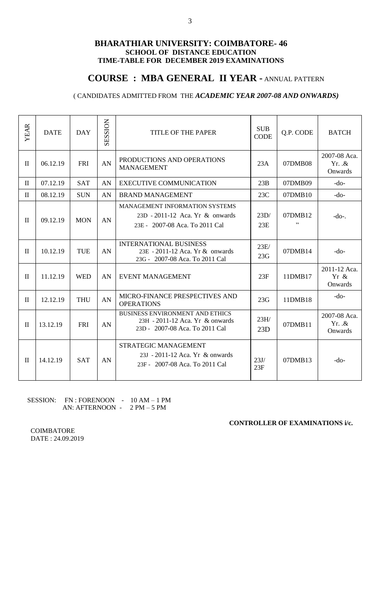## **COURSE : MBA GENERAL II YEAR -** ANNUAL PATTERN

### ( CANDIDATES ADMITTED FROM THE *ACADEMIC YEAR 2007-08 AND ONWARDS)*

| <b>YEAR</b>  | <b>DATE</b> | <b>DAY</b> | <b>SESSION</b> | <b>TITLE OF THE PAPER</b>                                                                                   | <b>SUB</b><br><b>CODE</b> | Q.P. CODE      | <b>BATCH</b>                      |
|--------------|-------------|------------|----------------|-------------------------------------------------------------------------------------------------------------|---------------------------|----------------|-----------------------------------|
| $\mathbf{I}$ | 06.12.19    | <b>FRI</b> | AN             | PRODUCTIONS AND OPERATIONS<br><b>MANAGEMENT</b>                                                             | 23A                       | 07DMB08        | 2007-08 Aca.<br>Yr. .&<br>Onwards |
| $\mathbf{I}$ | 07.12.19    | <b>SAT</b> | AN             | <b>EXECUTIVE COMMUNICATION</b>                                                                              | 23B                       | 07DMB09        | $-do-$                            |
| $\mathbf{I}$ | 08.12.19    | <b>SUN</b> | AN             | <b>BRAND MANAGEMENT</b>                                                                                     | 23C                       | 07DMB10        | $-do-$                            |
| $\mathbf{I}$ | 09.12.19    | <b>MON</b> | AN             | MANAGEMENT INFORMATION SYSTEMS<br>23D - 2011-12 Aca. Yr & onwards<br>23E - 2007-08 Aca. To 2011 Cal         | 23D/<br>23E               | 07DMB12<br>, , | $-do1$ .                          |
| $\mathbf{I}$ | 10.12.19    | <b>TUE</b> | AN             | <b>INTERNATIONAL BUSINESS</b><br>23E - 2011-12 Aca. Yr & onwards<br>23G - 2007-08 Aca. To 2011 Cal          | 23E/<br>23G               | 07DMB14        | $-do-$                            |
| $\mathbf{I}$ | 11.12.19    | <b>WED</b> | AN             | <b>EVENT MANAGEMENT</b>                                                                                     | 23F                       | 11DMB17        | 2011-12 Aca.<br>Yr &<br>Onwards   |
| $\mathbf{I}$ | 12.12.19    | <b>THU</b> | AN             | MICRO-FINANCE PRESPECTIVES AND<br><b>OPERATIONS</b>                                                         | 23G                       | 11DMB18        | $-do-$                            |
| $\mathbf{I}$ | 13.12.19    | <b>FRI</b> | AN             | <b>BUSINESS ENVIRONMENT AND ETHICS</b><br>23H - 2011-12 Aca. Yr & onwards<br>23D - 2007-08 Aca. To 2011 Cal | 23H/<br>23D               | 07DMB11        | 2007-08 Aca.<br>Yr. .&<br>Onwards |
| $\mathbf{I}$ | 14.12.19    | <b>SAT</b> | AN             | <b>STRATEGIC MANAGEMENT</b><br>23J - 2011-12 Aca. Yr & onwards<br>23F - 2007-08 Aca. To 2011 Cal            | 23J/<br>23F               | 07DMB13        | -do-                              |

SESSION: FN : FORENOON - 10 AM – 1 PM AN: AFTERNOON - 2 PM – 5 PM

**CONTROLLER OF EXAMINATIONS i/c.**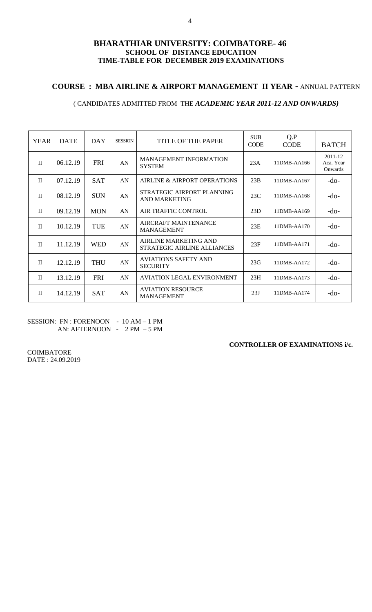### **COURSE : MBA AIRLINE & AIRPORT MANAGEMENT II YEAR -** ANNUAL PATTERN

### ( CANDIDATES ADMITTED FROM THE *ACADEMIC YEAR 2011-12 AND ONWARDS)*

| <b>YEAR</b>  | <b>DATE</b> | DAY        | <b>SESSION</b> | TITLE OF THE PAPER                                          | <b>SUB</b><br><b>CODE</b> | Q.P<br><b>CODE</b> | <b>BATCH</b>                    |
|--------------|-------------|------------|----------------|-------------------------------------------------------------|---------------------------|--------------------|---------------------------------|
| $\mathbf{H}$ | 06.12.19    | <b>FRI</b> | AN             | <b>MANAGEMENT INFORMATION</b><br><b>SYSTEM</b>              | 23A                       | 11DMB-AA166        | 2011-12<br>Aca. Year<br>Onwards |
| $\mathbf{I}$ | 07.12.19    | <b>SAT</b> | AN             | AIRLINE & AIRPORT OPERATIONS                                | 23B                       | 11DMB-AA167        | $-do-$                          |
| $\mathbf{I}$ | 08.12.19    | <b>SUN</b> | AN             | STRATEGIC AIRPORT PLANNING<br><b>AND MARKETING</b>          | 23C                       | 11DMB-AA168        | $-do-$                          |
| $\mathbf{H}$ | 09.12.19    | <b>MON</b> | AN             | <b>AIR TRAFFIC CONTROL</b>                                  | 23D                       | 11DMB-AA169        | $-do-$                          |
| $\mathbf{I}$ | 10.12.19    | TUE        | AN             | AIRCRAFT MAINTENANCE<br><b>MANAGEMENT</b>                   | 23E                       | 11DMB-AA170        | $-do-$                          |
| $\mathbf{H}$ | 11.12.19    | <b>WED</b> | AN             | <b>AIRLINE MARKETING AND</b><br>STRATEGIC AIRLINE ALLIANCES | 23F                       | 11DMB-AA171        | $-do-$                          |
| $\mathbf{I}$ | 12.12.19    | <b>THU</b> | AN             | <b>AVIATIONS SAFETY AND</b><br><b>SECURITY</b>              | 23G                       | 11DMB-AA172        | $-do-$                          |
| $\mathbf{H}$ | 13.12.19    | <b>FRI</b> | AN             | AVIATION LEGAL ENVIRONMENT                                  | 23H                       | 11DMB-AA173        | $-do-$                          |
| $\mathbf{H}$ | 14.12.19    | <b>SAT</b> | AN             | <b>AVIATION RESOURCE</b><br><b>MANAGEMENT</b>               | 23J                       | $11$ DMB-AA $174$  | -do-                            |

SESSION: FN : FORENOON - 10 AM - 1 PM AN: AFTERNOON - 2 PM – 5 PM

#### **CONTROLLER OF EXAMINATIONS i/c.**

COIMBATORE DATE : 24.09.2019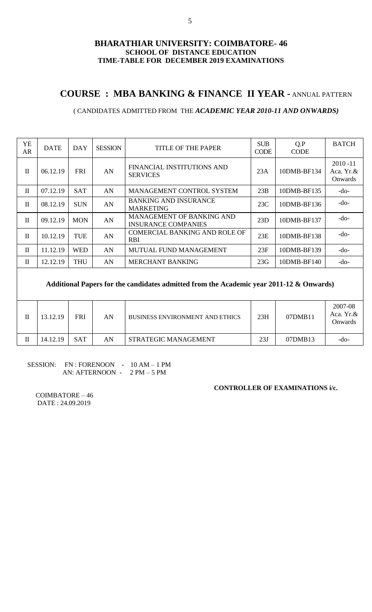# **COURSE : MBA BANKING & FINANCE II YEAR -** ANNUAL PATTERN

### ( CANDIDATES ADMITTED FROM THE *ACADEMIC YEAR 2010-11 AND ONWARDS)*

| YE<br>AR.    | <b>DATE</b> | <b>DAY</b> | <b>SESSION</b> | TITLE OF THE PAPER                                      | <b>SUB</b><br><b>CODE</b> | Q.P<br><b>CODE</b> | <b>BATCH</b>                        |
|--------------|-------------|------------|----------------|---------------------------------------------------------|---------------------------|--------------------|-------------------------------------|
| $\mathbf{I}$ | 06.12.19    | <b>FRI</b> | AN             | FINANCIAL INSTITUTIONS AND<br><b>SERVICES</b>           | 23A                       | 10DMB-BF134        | $2010 - 11$<br>Aca. Yr.&<br>Onwards |
| $\mathbf{I}$ | 07.12.19    | <b>SAT</b> | AN             | <b>MANAGEMENT CONTROL SYSTEM</b>                        | 23B                       | 10DMB-BF135        | $-do-$                              |
| $\mathbf{I}$ | 08.12.19    | <b>SUN</b> | AN             | <b>BANKING AND INSURANCE</b><br><b>MARKETING</b>        | 23C                       | 10DMB-BF136        | $-do-$                              |
| $\mathbf{I}$ | 09.12.19    | <b>MON</b> | AN             | <b>MANAGEMENT OF BANKING AND</b><br>INSURANCE COMPANIES | 23D                       | 10DMB-BF137        | $-do-$                              |
| $\mathbf{I}$ | 10.12.19    | TUE        | AN             | COMERCIAL BANKING AND ROLE OF<br>RBI                    | 23E                       | 10DMB-BF138        | $-do-$                              |
| $\mathbf{I}$ | 11.12.19    | WED        | AN             | MUTUAL FUND MANAGEMENT                                  | 23F                       | 10DMB-BF139        | $-do-$                              |
| $\mathbf{I}$ | 12.12.19    | <b>THU</b> | AN             | <b>MERCHANT BANKING</b>                                 | 23G                       | 10DMB-BF140        | -do-                                |
|              |             |            |                |                                                         |                           |                    |                                     |

### **Additional Papers for the candidates admitted from the Academic year 2011-12 & Onwards)**

| 13.12.19 | FRI        | AN | <b>BUSINESS ENVIRONMENT AND ETHICS</b> | 23H | 07DMB11 | 2007-08<br>Aca. Yr.&<br><b>Onwards</b> |
|----------|------------|----|----------------------------------------|-----|---------|----------------------------------------|
| 14.12.19 | <b>SAT</b> | AN | STRATEGIC MANAGEMENT                   | 23J | 07DMB13 | -do-                                   |

#### SESSION: FN : FORENOON - 10 AM - 1 PM AN: AFTERNOON - 2 PM – 5 PM

### **CONTROLLER OF EXAMINATIONS i/c.**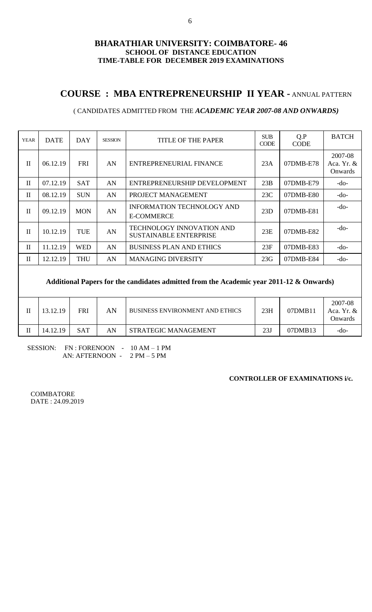# **COURSE : MBA ENTREPRENEURSHIP II YEAR -** ANNUAL PATTERN

#### YEAR DATE DAY SESSION TITLE OF THE PAPER CODE Q.P CODE BATCH  $II \mid 06.12.19$  FRI AN ENTREPRENEURIAL FINANCE 23A 07DMB-E78 2007-08 Aca. Yr. & Onwards  $II \mid 07.12.19 \mid$  SAT  $\mid$  AN ENTREPRENEURSHIP DEVELOPMENT  $\mid$  23B  $\mid$  07DMB-E79  $\mid$  -do- $II \mid 08.12.19 \mid$  SUN  $\mid$  AN PROJECT MANAGEMENT  $\mid$  23C  $\mid$  07DMB-E80  $\mid$  -do- $II \mid 09.12.19 \mid MON \mid AN$ INFORMATION TECHNOLOGY AND E-COMMERCE 23D 07DMB-E81 -do- $\begin{array}{|c|c|c|c|c|}\hline \text{I10.12.19} & \text{TUE} & \text{AN} & \text{TECHNOLOGY INNOVATION AND} & 23E & 07DMB-E82 & -d0-5 \\ \hline \end{array}$  $II$  11.12.19 WED AN BUSINESS PLAN AND ETHICS 23F 07DMB-E83  $-$ do- $II$  12.12.19 THU AN MANAGING DIVERSITY 23G 07DMB-E84 -do-

### ( CANDIDATES ADMITTED FROM THE *ACADEMIC YEAR 2007-08 AND ONWARDS)*

### **Additional Papers for the candidates admitted from the Academic year 2011-12 & Onwards)**

| 13.12.19 | FRI | AN | <b>BUSINESS ENVIRONMENT AND ETHICS</b> | 23H | 07DMB11 | 2007-08<br>Aca. Yr. $&$<br>Onwards |
|----------|-----|----|----------------------------------------|-----|---------|------------------------------------|
| 14.12.19 | SAT | AN | STRATEGIC MANAGEMENT                   | 23J | 07DMB13 | -do-                               |

SESSION: FN : FORENOON - 10 AM – 1 PM AN: AFTERNOON - 2 PM – 5 PM

#### **CONTROLLER OF EXAMINATIONS i/c.**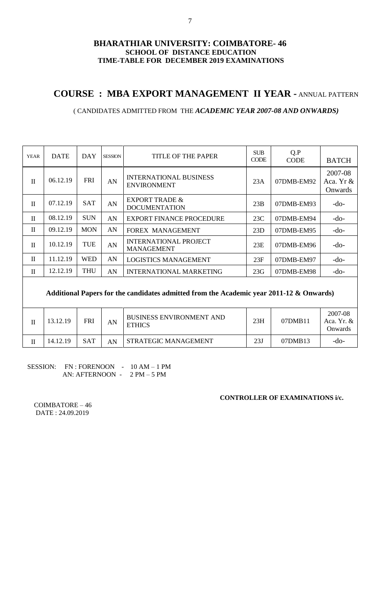# **COURSE : MBA EXPORT MANAGEMENT II YEAR -** ANNUAL PATTERN

### ( CANDIDATES ADMITTED FROM THE *ACADEMIC YEAR 2007-08 AND ONWARDS)*

| <b>YEAR</b>  | <b>DATE</b> | DAY        | <b>SESSION</b> | <b>TITLE OF THE PAPER</b>                           | <b>SUB</b><br><b>CODE</b> | Q.P<br><b>CODE</b> | <b>BATCH</b>                    |
|--------------|-------------|------------|----------------|-----------------------------------------------------|---------------------------|--------------------|---------------------------------|
| $\mathbf{I}$ | 06.12.19    | <b>FRI</b> | AN             | <b>INTERNATIONAL BUSINESS</b><br><b>ENVIRONMENT</b> | 23A                       | 07DMB-EM92         | 2007-08<br>Aca. Yr &<br>Onwards |
| $\mathbf{I}$ | 07.12.19    | <b>SAT</b> | AN             | <b>EXPORT TRADE &amp;</b><br><b>DOCUMENTATION</b>   | 23B                       | 07DMB-EM93         | $-do-$                          |
| $\mathbf{I}$ | 08.12.19    | <b>SUN</b> | AN             | <b>EXPORT FINANCE PROCEDURE</b>                     | 23C                       | 07DMB-EM94         | $-do-$                          |
| $\mathbf{I}$ | 09.12.19    | <b>MON</b> | AN             | <b>FOREX MANAGEMENT</b>                             | 23D                       | 07DMB-EM95         | $-do-$                          |
| $\mathbf{I}$ | 10.12.19    | TUE        | AN             | <b>INTERNATIONAL PROJECT</b><br><b>MANAGEMENT</b>   | 23E                       | 07DMB-EM96         | $-do-$                          |
| $\mathbf{I}$ | 11.12.19    | <b>WED</b> | AN             | <b>LOGISTICS MANAGEMENT</b>                         | 23F                       | 07DMB-EM97         | $-do-$                          |
| $\mathbf{I}$ | 12.12.19    | <b>THU</b> | AN             | <b>INTERNATIONAL MARKETING</b>                      | 23G                       | 07DMB-EM98         | $-do-$                          |

**Additional Papers for the candidates admitted from the Academic year 2011-12 & Onwards)**

| 13.12.19 | FRI        | AN | <b>BUSINESS ENVIRONMENT AND</b><br><b>ETHICS</b> | 23H | 07DMB11 | 2007-08<br>Aca. Yr. $&$<br>Onwards |
|----------|------------|----|--------------------------------------------------|-----|---------|------------------------------------|
| 14.12.19 | <b>SAT</b> | AN | STRATEGIC MANAGEMENT                             | 23J | 07DMB13 | -do-                               |

### SESSION: FN : FORENOON - 10 AM - 1 PM AN: AFTERNOON - 2 PM – 5 PM

### **CONTROLLER OF EXAMINATIONS i/c.**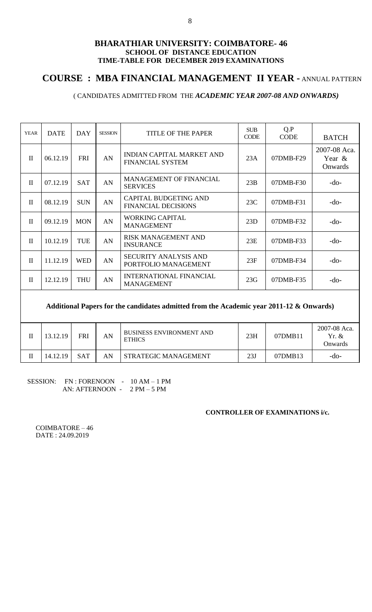## **COURSE : MBA FINANCIAL MANAGEMENT II YEAR -** ANNUAL PATTERN

## ( CANDIDATES ADMITTED FROM THE *ACADEMIC YEAR 2007-08 AND ONWARDS)*

| <b>YEAR</b>  | <b>DATE</b> | <b>DAY</b> | <b>SESSION</b> | <b>TITLE OF THE PAPER</b>                                   | <b>SUB</b><br><b>CODE</b> | Q.P<br><b>CODE</b> | <b>BATCH</b>                      |
|--------------|-------------|------------|----------------|-------------------------------------------------------------|---------------------------|--------------------|-----------------------------------|
| $\mathbf{I}$ | 06.12.19    | <b>FRI</b> | AN             | <b>INDIAN CAPITAL MARKET AND</b><br><b>FINANCIAL SYSTEM</b> | 23A                       | 07DMB-F29          | 2007-08 Aca.<br>Year &<br>Onwards |
| $\mathbf{I}$ | 07.12.19    | <b>SAT</b> | AN             | MANAGEMENT OF FINANCIAL<br><b>SERVICES</b>                  | 23B                       | 07DMB-F30          | $-do-$                            |
| $\mathbf{I}$ | 08.12.19    | <b>SUN</b> | AN             | <b>CAPITAL BUDGETING AND</b><br><b>FINANCIAL DECISIONS</b>  | 23C                       | $07$ DMB-F31       | $-do-$                            |
| $\mathbf{I}$ | 09.12.19    | <b>MON</b> | AN             | <b>WORKING CAPITAL</b><br><b>MANAGEMENT</b>                 | 23D                       | 07DMB-F32          | -do-                              |
| $\mathbf{I}$ | 10.12.19    | TUE        | AN             | <b>RISK MANAGEMENT AND</b><br><b>INSURANCE</b>              | 23E                       | $07DMB-F33$        | $-do-$                            |
| $\mathbf{I}$ | 11.12.19    | <b>WED</b> | AN             | <b>SECURITY ANALYSIS AND</b><br>PORTFOLIO MANAGEMENT        | 23F                       | $07$ DMB-F34       | -do-                              |
| $\mathbf{I}$ | 12.12.19    | <b>THU</b> | AN             | <b>INTERNATIONAL FINANCIAL</b><br><b>MANAGEMENT</b>         | 23G                       | 07DMB-F35          | -do-                              |

### **Additional Papers for the candidates admitted from the Academic year 2011-12 & Onwards)**

| 13.12.19 | FRI | AN | <b>BUSINESS ENVIRONMENT AND</b><br><b>ETHICS</b> | 23H | 07DMB11 | 2007-08 Aca.<br>$Yr. \&$<br>Onwards) |
|----------|-----|----|--------------------------------------------------|-----|---------|--------------------------------------|
| 14.12.19 | SAT | AN | <b>STRATEGIC MANAGEMENT</b>                      | 23J | 07DMB13 | -do-                                 |

SESSION: FN : FORENOON - 10 AM – 1 PM AN: AFTERNOON - 2 PM – 5 PM

#### **CONTROLLER OF EXAMINATIONS i/c.**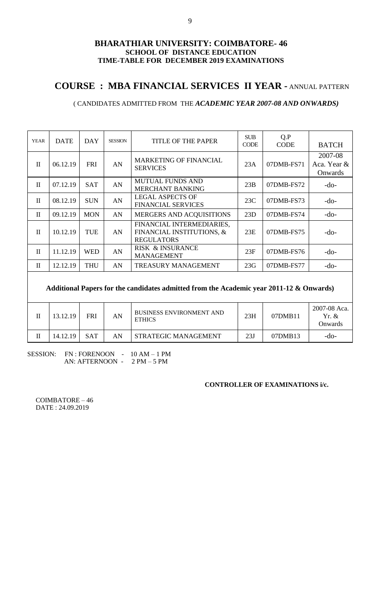# **COURSE : MBA FINANCIAL SERVICES II YEAR -** ANNUAL PATTERN

## ( CANDIDATES ADMITTED FROM THE *ACADEMIC YEAR 2007-08 AND ONWARDS)*

| <b>YEAR</b>  | <b>DATE</b> | <b>DAY</b> | <b>SESSION</b> | <b>TITLE OF THE PAPER</b>                                                   | <b>SUB</b><br><b>CODE</b> | Q.P<br><b>CODE</b> | <b>BATCH</b>                      |
|--------------|-------------|------------|----------------|-----------------------------------------------------------------------------|---------------------------|--------------------|-----------------------------------|
| $\mathbf{I}$ | 06.12.19    | <b>FRI</b> | AN             | <b>MARKETING OF FINANCIAL</b><br><b>SERVICES</b>                            | 23A                       | 07DMB-FS71         | 2007-08<br>Aca. Year &<br>Onwards |
| $\mathbf{I}$ | 07.12.19    | <b>SAT</b> | AN             | <b>MUTUAL FUNDS AND</b><br><b>MERCHANT BANKING</b>                          | 23B                       | 07DMB-FS72         | $-do-$                            |
| $\mathbf{I}$ | 08.12.19    | <b>SUN</b> | AN             | <b>LEGAL ASPECTS OF</b><br><b>FINANCIAL SERVICES</b>                        | 23C                       | 07DMB-FS73         | $-do-$                            |
| $\mathbf{I}$ | 09.12.19    | <b>MON</b> | AN             | MERGERS AND ACQUISITIONS                                                    | 23D                       | 07DMB-FS74         | $-do-$                            |
| $\mathbf{I}$ | 10.12.19    | <b>TUE</b> | AN             | FINANCIAL INTERMEDIARIES,<br>FINANCIAL INSTITUTIONS, &<br><b>REGULATORS</b> | 23E                       | $07$ DMB-FS75      | -do-                              |
| $\mathbf{I}$ | 11.12.19    | <b>WED</b> | AN             | RISK & INSURANCE<br><b>MANAGEMENT</b>                                       | 23F                       | 07DMB-FS76         | $-do-$                            |
| $\mathbf{I}$ | 12.12.19    | <b>THU</b> | AN             | <b>TREASURY MANAGEMENT</b>                                                  | 23G                       | 07DMB-FS77         | $-do-$                            |
|              |             |            |                |                                                                             |                           |                    |                                   |

## **Additional Papers for the candidates admitted from the Academic year 2011-12 & Onwards)**

| Н | 13.12.19 | FRI        | AN | <b>BUSINESS ENVIRONMENT AND</b><br><b>ETHICS</b> | 23H | 07DMB11 | 2007-08 Aca.<br>Yr. &<br>Onwards |
|---|----------|------------|----|--------------------------------------------------|-----|---------|----------------------------------|
| П | 14.12.19 | <b>SAT</b> | AN | I STRATEGIC MANAGEMENT                           | 23J | 07DMB13 | -do-                             |

SESSION: FN : FORENOON - 10 AM - 1 PM AN: AFTERNOON - 2 PM – 5 PM

#### **CONTROLLER OF EXAMINATIONS i/c.**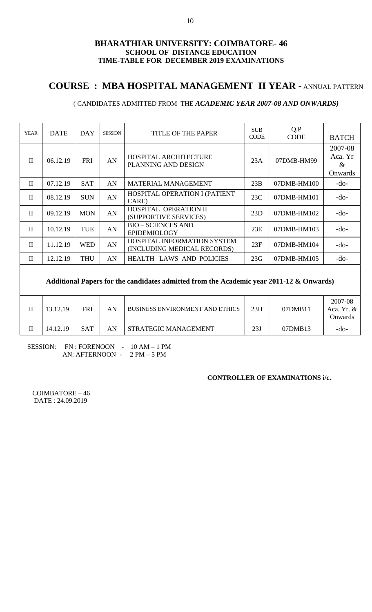# **COURSE : MBA HOSPITAL MANAGEMENT II YEAR -** ANNUAL PATTERN

## ( CANDIDATES ADMITTED FROM THE *ACADEMIC YEAR 2007-08 AND ONWARDS)*

| <b>YEAR</b>  | <b>DATE</b> | DAY        | <b>SESSION</b> | <b>TITLE OF THE PAPER</b>                                  | <b>SUB</b><br><b>CODE</b> | Q.P<br><b>CODE</b> | <b>BATCH</b>                          |
|--------------|-------------|------------|----------------|------------------------------------------------------------|---------------------------|--------------------|---------------------------------------|
| $\mathbf{I}$ | 06.12.19    | <b>FRI</b> | AN             | HOSPITAL ARCHITECTURE<br>PLANNING AND DESIGN               | 23A                       | 07DMB-HM99         | 2007-08<br>Aca. Yr<br>$\&$<br>Onwards |
| $\mathbf{I}$ | 07.12.19    | <b>SAT</b> | AN             | MATERIAL MANAGEMENT                                        | 23B                       | 07DMB-HM100        | $-do-$                                |
| $\mathbf{H}$ | 08.12.19    | <b>SUN</b> | AN             | HOSPITAL OPERATION I (PATIENT<br>CARE)                     | 23C                       | 07DMB-HM101        | $-do-$                                |
| $\mathbf{I}$ | 09.12.19    | <b>MON</b> | AN             | HOSPITAL OPERATION II<br>(SUPPORTIVE SERVICES)             | 23D                       | 07DMB-HM102        | $-do-$                                |
| $\mathbf{I}$ | 10.12.19    | <b>TUE</b> | AN             | <b>BIO - SCIENCES AND</b><br><b>EPIDEMIOLOGY</b>           | 23E                       | 07DMB-HM103        | $-do-$                                |
| $\mathbf{I}$ | 11.12.19    | <b>WED</b> | AN             | HOSPITAL INFORMATION SYSTEM<br>(INCLUDING MEDICAL RECORDS) | 23F                       | 07DMB-HM104        | $-do-$                                |
| $\mathbf{I}$ | 12.12.19    | <b>THU</b> | AN             | <b>HEALTH LAWS AND POLICIES</b>                            | 23G                       | 07DMB-HM105        | $-do-$                                |

### **Additional Papers for the candidates admitted from the Academic year 2011-12 & Onwards)**

| П | 13.12.19 | FRI        | AN | <b>BUSINESS ENVIRONMENT AND ETHICS</b> | 23H | 07DMB11 | 2007-08<br>Aca. Yr. &<br><b>Onwards</b> |
|---|----------|------------|----|----------------------------------------|-----|---------|-----------------------------------------|
|   | 14.12.19 | <b>SAT</b> | AN | STRATEGIC MANAGEMENT                   | 23J | 07DMB13 | -do-                                    |

SESSION: FN : FORENOON - 10 AM – 1 PM AN: AFTERNOON - 2 PM – 5 PM

### **CONTROLLER OF EXAMINATIONS i/c.**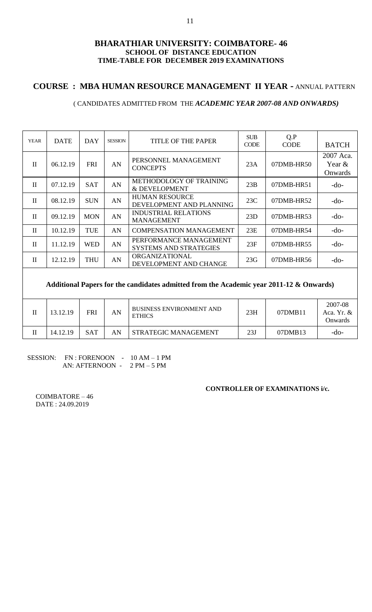## **COURSE : MBA HUMAN RESOURCE MANAGEMENT II YEAR -** ANNUAL PATTERN

### ( CANDIDATES ADMITTED FROM THE *ACADEMIC YEAR 2007-08 AND ONWARDS)*

| <b>YEAR</b>                                                                             | <b>DATE</b> | <b>DAY</b> | <b>SESSION</b> | TITLE OF THE PAPER                                      | <b>SUB</b><br><b>CODE</b> | Q.P<br><b>CODE</b> | <b>BATCH</b>                       |  |  |  |
|-----------------------------------------------------------------------------------------|-------------|------------|----------------|---------------------------------------------------------|---------------------------|--------------------|------------------------------------|--|--|--|
| $\mathbf{H}$                                                                            | 06.12.19    | <b>FRI</b> | AN             | PERSONNEL MANAGEMENT<br><b>CONCEPTS</b>                 | 23A                       | 07DMB-HR50         | 2007 Aca.<br>Year $&$<br>Onwards   |  |  |  |
| $\mathbf{I}$                                                                            | 07.12.19    | <b>SAT</b> | AN             | METHODOLOGY OF TRAINING<br>& DEVELOPMENT                | 23B                       | 07DMB-HR51         | $-do-$                             |  |  |  |
| $\mathbf{I}$                                                                            | 08.12.19    | <b>SUN</b> | AN             | <b>HUMAN RESOURCE</b><br>DEVELOPMENT AND PLANNING       | 23C                       | 07DMB-HR52         | $-do-$                             |  |  |  |
| $\mathbf{I}$                                                                            | 09.12.19    | <b>MON</b> | AN             | <b>INDUSTRIAL RELATIONS</b><br><b>MANAGEMENT</b>        | 23D                       | 07DMB-HR53         | $-do-$                             |  |  |  |
| $\mathbf{I}$                                                                            | 10.12.19    | TUE        | AN             | <b>COMPENSATION MANAGEMENT</b>                          | 23E                       | 07DMB-HR54         | $-do-$                             |  |  |  |
| $\mathbf{I}$                                                                            | 11.12.19    | <b>WED</b> | AN             | PERFORMANCE MANAGEMENT<br><b>SYSTEMS AND STRATEGIES</b> | 23F                       | 07DMB-HR55         | $-do-$                             |  |  |  |
| $\mathbf{I}$                                                                            | 12.12.19    | <b>THU</b> | AN             | ORGANIZATIONAL<br>DEVELOPMENT AND CHANGE                | 23G                       | 07DMB-HR56         | $-do-$                             |  |  |  |
| Additional Papers for the candidates admitted from the Academic year 2011-12 & Onwards) |             |            |                |                                                         |                           |                    |                                    |  |  |  |
| $\mathbf{H}$                                                                            | 13.12.19    | <b>FRI</b> | AN             | <b>BUSINESS ENVIRONMENT AND</b><br><b>ETHICS</b>        | 23H                       | 07DMB11            | 2007-08<br>Aca. Yr. $&$<br>Onwards |  |  |  |

|         |          |            |    | <b>LITTO</b>         |                     |         | Jnwar |
|---------|----------|------------|----|----------------------|---------------------|---------|-------|
| $-$<br> | 14.12.19 | <b>SAT</b> | AN | STRATEGIC MANAGEMENT | $\mathbf{A}$<br>23J | 07DMB13 | -do-  |
|         |          |            |    |                      |                     |         |       |

### SESSION: FN : FORENOON - 10 AM – 1 PM AN: AFTERNOON - 2 PM – 5 PM

### **CONTROLLER OF EXAMINATIONS i/c.**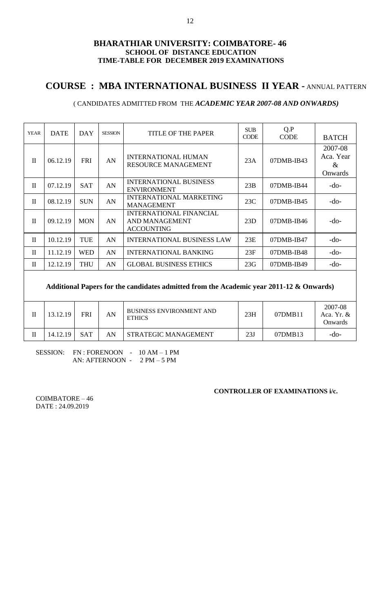# **COURSE : MBA INTERNATIONAL BUSINESS II YEAR -** ANNUAL PATTERN

### ( CANDIDATES ADMITTED FROM THE *ACADEMIC YEAR 2007-08 AND ONWARDS)*

| <b>YEAR</b>  | <b>DATE</b> | <b>DAY</b> | <b>SESSION</b> | TITLE OF THE PAPER                                                    | <b>SUB</b><br><b>CODE</b> | Q.P<br><b>CODE</b> | <b>BATCH</b>                            |
|--------------|-------------|------------|----------------|-----------------------------------------------------------------------|---------------------------|--------------------|-----------------------------------------|
| $\mathbf{H}$ | 06.12.19    | <b>FRI</b> | AN             | <b>INTERNATIONAL HUMAN</b><br><b>RESOURCE MANAGEMENT</b>              | 23A                       | $07$ DMB-IB43      | 2007-08<br>Aca. Year<br>$\&$<br>Onwards |
| $\mathbf{I}$ | 07.12.19    | <b>SAT</b> | AN             | <b>INTERNATIONAL BUSINESS</b><br><b>ENVIRONMENT</b>                   | 23B                       | $07$ DMB-IB44      | -do-                                    |
| $\mathbf{I}$ | 08.12.19    | <b>SUN</b> | AN             | <b>INTERNATIONAL MARKETING</b><br><b>MANAGEMENT</b>                   | 23C                       | $07$ DMB-IB45      | $-do-$                                  |
| $\mathbf{I}$ | 09.12.19    | <b>MON</b> | AN             | <b>INTERNATIONAL FINANCIAL</b><br>AND MANAGEMENT<br><b>ACCOUNTING</b> | 23D                       | $07$ DMB-IB46      | -do-                                    |
| $\mathbf{I}$ | 10.12.19    | <b>TUE</b> | AN             | <b>INTERNATIONAL BUSINESS LAW</b>                                     | 23E                       | $07$ DMB-IB47      | $-do-$                                  |
| $\mathbf{I}$ | 11.12.19    | <b>WED</b> | AN             | <b>INTERNATIONAL BANKING</b>                                          | 23F                       | 07DMB-IB48         | $-do-$                                  |
| $\mathbf{I}$ | 12.12.19    | <b>THU</b> | AN             | <b>GLOBAL BUSINESS ETHICS</b>                                         | 23G                       | 07DMB-IB49         | $-do-$                                  |
|              |             |            |                |                                                                       |                           |                    |                                         |

## **Additional Papers for the candidates admitted from the Academic year 2011-12 & Onwards)**

| 13.12.19 | <b>FRI</b> | AN | <b>BUSINESS ENVIRONMENT AND</b><br><b>ETHICS</b> | 23H | 07DMB11 | 2007-08<br>Aca. Yr. $&$<br><b>Onwards</b> |
|----------|------------|----|--------------------------------------------------|-----|---------|-------------------------------------------|
| 14.12.19 | SAT        | AN | <b>STRATEGIC MANAGEMENT</b>                      | 23J | 07DMB13 | -do-                                      |

 SESSION: FN : FORENOON - 10 AM – 1 PM AN: AFTERNOON - 2 PM – 5 PM

## **CONTROLLER OF EXAMINATIONS i/c.**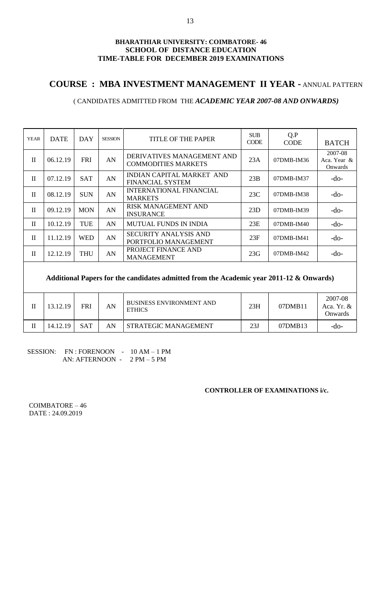## **COURSE : MBA INVESTMENT MANAGEMENT II YEAR -** ANNUAL PATTERN

### ( CANDIDATES ADMITTED FROM THE *ACADEMIC YEAR 2007-08 AND ONWARDS)*

| <b>YEAR</b>  | <b>DATE</b> | DAY        | <b>SESSION</b> | <b>TITLE OF THE PAPER</b>                                | <b>SUB</b><br><b>CODE</b> | Q.P<br><b>CODE</b> | <b>BATCH</b>                      |
|--------------|-------------|------------|----------------|----------------------------------------------------------|---------------------------|--------------------|-----------------------------------|
| $\mathbf{I}$ | 06.12.19    | <b>FRI</b> | AN             | DERIVATIVES MANAGEMENT AND<br><b>COMMODITIES MARKETS</b> | 23A                       | $07$ DMB-IM36      | 2007-08<br>Aca. Year &<br>Onwards |
| $\mathbf{I}$ | 07.12.19    | <b>SAT</b> | AN             | INDIAN CAPITAL MARKET AND<br><b>FINANCIAL SYSTEM</b>     | 23B                       | $07$ DMB-IM37      | $-do-$                            |
| $\mathbf{I}$ | 08.12.19    | <b>SUN</b> | AN             | <b>INTERNATIONAL FINANCIAL</b><br><b>MARKETS</b>         | 23C                       | 07DMB-IM38         | $-do-$                            |
| $\mathbf{I}$ | 09.12.19    | <b>MON</b> | AN             | <b>RISK MANAGEMENT AND</b><br><b>INSURANCE</b>           | 23D                       | $07$ DMB-IM39      | $-do-$                            |
| $\mathbf{I}$ | 10.12.19    | <b>TUE</b> | AN             | <b>MUTUAL FUNDS IN INDIA</b>                             | 23E                       | $07$ DMB-IM40      | $-do-$                            |
| $\mathbf{I}$ | 11.12.19    | WED        | AN             | SECURITY ANALYSIS AND<br>PORTFOLIO MANAGEMENT            | 23F                       | $07$ DMB-IM41      | -do-                              |
| $\mathbf{I}$ | 12.12.19    | THU        | AN             | PROJECT FINANCE AND<br><b>MANAGEMENT</b>                 | 23G                       | $07$ DMB-IM42      | $-do-$                            |

### **Additional Papers for the candidates admitted from the Academic year 2011-12 & Onwards)**

| 13.12.19 | FRI        | AN | <b>BUSINESS ENVIRONMENT AND</b><br><b>ETHICS</b> | 23H | 07DMB11 | 2007-08<br>Aca. Yr. $&$<br><b>Onwards</b> |
|----------|------------|----|--------------------------------------------------|-----|---------|-------------------------------------------|
| 14.12.19 | <b>SAT</b> | AN | STRATEGIC MANAGEMENT                             | 23J | 07DMB13 | -do-                                      |

SESSION: FN : FORENOON - 10 AM – 1 PM AN: AFTERNOON - 2 PM – 5 PM

### **CONTROLLER OF EXAMINATIONS i/c.**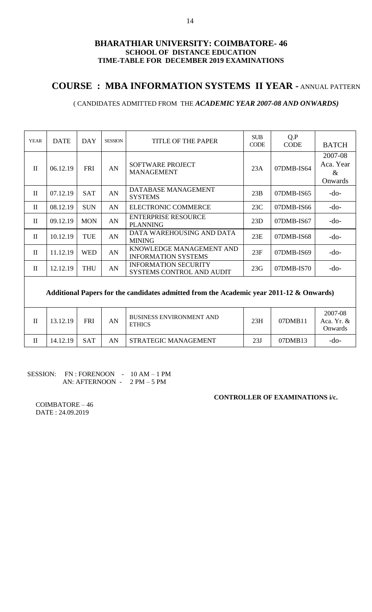# **COURSE : MBA INFORMATION SYSTEMS II YEAR -** ANNUAL PATTERN

## ( CANDIDATES ADMITTED FROM THE *ACADEMIC YEAR 2007-08 AND ONWARDS)*

| <b>YEAR</b>  | <b>DATE</b> | DAY        | <b>SESSION</b> | TITLE OF THE PAPER                                              | <b>SUB</b><br><b>CODE</b> | Q.P<br><b>CODE</b> | <b>BATCH</b>                            |
|--------------|-------------|------------|----------------|-----------------------------------------------------------------|---------------------------|--------------------|-----------------------------------------|
| $\mathbf{H}$ | 06.12.19    | <b>FRI</b> | AN             | <b>SOFTWARE PROJECT</b><br><b>MANAGEMENT</b>                    | 23A                       | 07DMB-IS64         | 2007-08<br>Aca. Year<br>$\&$<br>Onwards |
| $\mathbf{I}$ | 07.12.19    | <b>SAT</b> | AN             | DATABASE MANAGEMENT<br><b>SYSTEMS</b>                           | 23B                       | 07DMB-IS65         | $-do-$                                  |
| $\mathbf{I}$ | 08.12.19    | <b>SUN</b> | AN             | ELECTRONIC COMMERCE                                             | 23C                       | 07DMB-IS66         | $-do-$                                  |
| $\mathbf{H}$ | 09.12.19    | <b>MON</b> | AN             | <b>ENTERPRISE RESOURCE</b><br><b>PLANNING</b>                   | 23D                       | 07DMB-IS67         | $-do-$                                  |
| $\mathbf{I}$ | 10.12.19    | <b>TUE</b> | AN             | DATA WAREHOUSING AND DATA<br><b>MINING</b>                      | 23E                       | 07DMB-IS68         | $-do-$                                  |
| $\mathbf{H}$ | 11.12.19    | <b>WED</b> | AN             | KNOWLEDGE MANAGEMENT AND<br><b>INFORMATION SYSTEMS</b>          | 23F                       | 07DMB-IS69         | $-do-$                                  |
| $\mathbf{H}$ | 12.12.19    | <b>THU</b> | AN             | <b>INFORMATION SECURITY</b><br><b>SYSTEMS CONTROL AND AUDIT</b> | 23G                       | 07DMB-IS70         | $-do-$                                  |

### **Additional Papers for the candidates admitted from the Academic year 2011-12 & Onwards)**

| Н | 13.12.19 | FRI        | AN | <b>BUSINESS ENVIRONMENT AND</b><br><b>ETHICS</b> | 23H | 07DMB11 | 2007-08<br>Aca. Yr. $&$<br><b>Onwards</b> |
|---|----------|------------|----|--------------------------------------------------|-----|---------|-------------------------------------------|
|   | 14.12.19 | <b>SAT</b> | AN | STRATEGIC MANAGEMENT                             | 23J | 07DMB13 | -do-                                      |

### SESSION: FN : FORENOON - 10 AM - 1 PM AN: AFTERNOON - 2 PM – 5 PM

### **CONTROLLER OF EXAMINATIONS i/c.**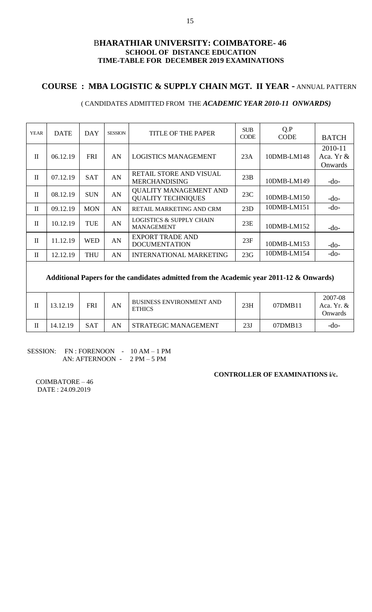## **COURSE : MBA LOGISTIC & SUPPLY CHAIN MGT. II YEAR -** ANNUAL PATTERN

### ( CANDIDATES ADMITTED FROM THE *ACADEMIC YEAR 2010-11 ONWARDS)*

| <b>YEAR</b>  | <b>DATE</b> | DAY        | <b>SESSION</b> | TITLE OF THE PAPER                                         | <b>SUB</b><br><b>CODE</b> | Q.P<br><b>CODE</b> | <b>BATCH</b>                    |
|--------------|-------------|------------|----------------|------------------------------------------------------------|---------------------------|--------------------|---------------------------------|
| $\mathbf{I}$ | 06.12.19    | <b>FRI</b> | AN             | <b>LOGISTICS MANAGEMENT</b>                                | 23A                       | 10DMB-LM148        | 2010-11<br>Aca. Yr &<br>Onwards |
| $\mathbf{I}$ | 07.12.19    | <b>SAT</b> | AN             | RETAIL STORE AND VISUAL<br><b>MERCHANDISING</b>            | 23B                       | 10DMB-LM149        | -do-                            |
| $\mathbf{I}$ | 08.12.19    | <b>SUN</b> | AN             | <b>QUALITY MANAGEMENT AND</b><br><b>QUALITY TECHNIQUES</b> | 23C                       | 10DMB-LM150        | $-do-$                          |
| $\mathbf{I}$ | 09.12.19    | <b>MON</b> | AN             | RETAIL MARKETING AND CRM                                   | 23D                       | 10DMB-LM151        | $-do-$                          |
| $\mathbf{I}$ | 10.12.19    | <b>TUE</b> | AN             | <b>LOGISTICS &amp; SUPPLY CHAIN</b><br><b>MANAGEMENT</b>   | 23E                       | 10DMB-LM152        | -do-                            |
| $\mathbf{I}$ | 11.12.19    | <b>WED</b> | AN             | <b>EXPORT TRADE AND</b><br><b>DOCUMENTATION</b>            | 23F                       | 10DMB-LM153        | $-do-$                          |
| $\mathbf{I}$ | 12.12.19    | <b>THU</b> | AN             | <b>INTERNATIONAL MARKETING</b>                             | 23G                       | 10DMB-LM154        | $-do-$                          |
|              |             |            |                |                                                            |                           |                    |                                 |

### **Additional Papers for the candidates admitted from the Academic year 2011-12 & Onwards)**

| 13.12.19 | FRI        | AN | <b>BUSINESS ENVIRONMENT AND</b><br><b>ETHICS</b> | 23H | 07DMB11 | 2007-08<br>Aca, Yr. $\&$<br><b>Onwards</b> |
|----------|------------|----|--------------------------------------------------|-----|---------|--------------------------------------------|
| 14.12.19 | <b>SAT</b> | ΑN | STRATEGIC MANAGEMENT                             | 23J | 07DMB13 | -do-                                       |

#### SESSION: FN : FORENOON - 10 AM – 1 PM AN: AFTERNOON - 2 PM – 5 PM

#### **CONTROLLER OF EXAMINATIONS i/c.**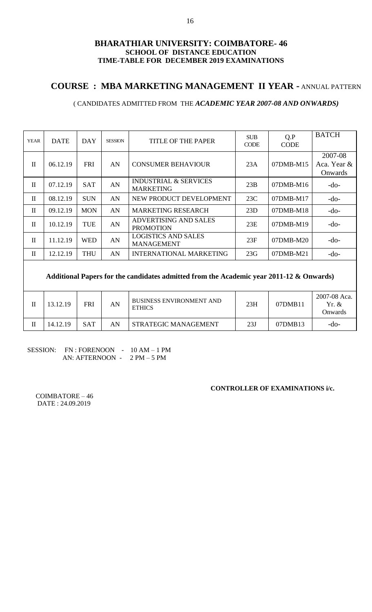## **COURSE : MBA MARKETING MANAGEMENT II YEAR -** ANNUAL PATTERN

## ( CANDIDATES ADMITTED FROM THE *ACADEMIC YEAR 2007-08 AND ONWARDS)*

| <b>YEAR</b>  | <b>DATE</b> | DAY        | <b>SESSION</b> | TITLE OF THE PAPER                                   | <b>SUB</b><br><b>CODE</b> | Q.P<br><b>CODE</b> | <b>BATCH</b>                      |
|--------------|-------------|------------|----------------|------------------------------------------------------|---------------------------|--------------------|-----------------------------------|
| $\mathbf{I}$ | 06.12.19    | <b>FRI</b> | AN             | <b>CONSUMER BEHAVIOUR</b>                            | 23A                       | $07DMB-M15$        | 2007-08<br>Aca. Year &<br>Onwards |
| $\mathbf{I}$ | 07.12.19    | <b>SAT</b> | AN             | <b>INDUSTRIAL &amp; SERVICES</b><br><b>MARKETING</b> | 23B                       | $07$ DMB-M $16$    | $-do-$                            |
| $\mathbf{I}$ | 08.12.19    | <b>SUN</b> | AN             | NEW PRODUCT DEVELOPMENT                              | 23C                       | $07DMB-M17$        | $-do-$                            |
| $\mathbf{I}$ | 09.12.19    | <b>MON</b> | AN             | <b>MARKETING RESEARCH</b>                            | 23D                       | $07$ DMB-M $18$    | $-do-$                            |
| $\mathbf{I}$ | 10.12.19    | <b>TUE</b> | AN             | ADVERTISING AND SALES<br><b>PROMOTION</b>            | 23E                       | 07DMB-M19          | $-do-$                            |
| $\mathbf{I}$ | 11.12.19    | <b>WED</b> | AN             | <b>LOGISTICS AND SALES</b><br><b>MANAGEMENT</b>      | 23F                       | $07DMB-M20$        | $-do-$                            |
| $\mathbf{I}$ | 12.12.19    | THU        | AN             | <b>INTERNATIONAL MARKETING</b>                       | 23G                       | 07DMB-M21          | $-do-$                            |

## **Additional Papers for the candidates admitted from the Academic year 2011-12 & Onwards)**

| 13.12.19 | FRI        | AN | BUSINESS ENVIRONMENT AND<br><b>ETHICS</b> | 23H | 07DMB11 | 2007-08 Aca.<br>Yr. &<br>Onwards) |
|----------|------------|----|-------------------------------------------|-----|---------|-----------------------------------|
| 14.12.19 | <b>SAT</b> | AN | STRATEGIC MANAGEMENT                      | 23J | 07DMB13 | -do-                              |

SESSION: FN : FORENOON - 10 AM - 1 PM AN: AFTERNOON - 2 PM – 5 PM

### **CONTROLLER OF EXAMINATIONS i/c.**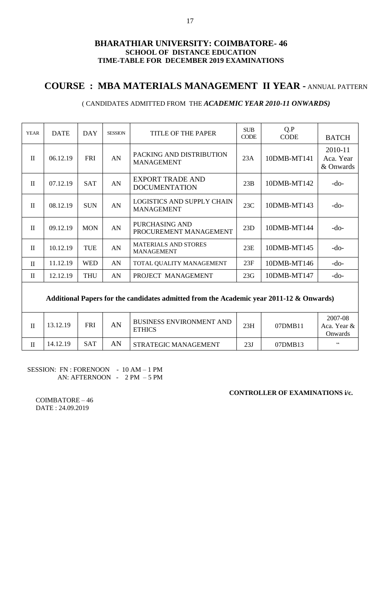# **COURSE : MBA MATERIALS MANAGEMENT II YEAR -** ANNUAL PATTERN

### ( CANDIDATES ADMITTED FROM THE *ACADEMIC YEAR 2010-11 ONWARDS)*

| <b>YEAR</b>  | <b>DATE</b>                                                                             | DAY        | <b>SESSION</b> | <b>TITLE OF THE PAPER</b>                              | <b>SUB</b><br><b>CODE</b> | Q.P<br><b>CODE</b> | <b>BATCH</b>                      |  |  |  |  |
|--------------|-----------------------------------------------------------------------------------------|------------|----------------|--------------------------------------------------------|---------------------------|--------------------|-----------------------------------|--|--|--|--|
| $\mathbf{I}$ | 06.12.19                                                                                | <b>FRI</b> | AN             | PACKING AND DISTRIBUTION<br><b>MANAGEMENT</b>          | 23A                       | 10DMB-MT141        | 2010-11<br>Aca. Year<br>& Onwards |  |  |  |  |
| $\mathbf{I}$ | 07.12.19                                                                                | <b>SAT</b> | AN             | <b>EXPORT TRADE AND</b><br><b>DOCUMENTATION</b>        | 23B                       | 10DMB-MT142        | $-do-$                            |  |  |  |  |
| $\mathbf{I}$ | 08.12.19                                                                                | <b>SUN</b> | AN             | <b>LOGISTICS AND SUPPLY CHAIN</b><br><b>MANAGEMENT</b> | 23C                       | 10DMB-MT143        | $-do-$                            |  |  |  |  |
| $\mathbf{I}$ | 09.12.19                                                                                | <b>MON</b> | AN             | PURCHASING AND<br>PROCUREMENT MANAGEMENT               | 23D                       | 10DMB-MT144        | $-do-$                            |  |  |  |  |
| $\mathbf{I}$ | 10.12.19                                                                                | <b>TUE</b> | AN             | <b>MATERIALS AND STORES</b><br><b>MANAGEMENT</b>       | 23E                       | 10DMB-MT145        | $-do-$                            |  |  |  |  |
| $\mathbf{I}$ | 11.12.19                                                                                | <b>WED</b> | AN             | TOTAL QUALITY MANAGEMENT                               | 23F                       | 10DMB-MT146        | $-do-$                            |  |  |  |  |
| $\mathbf{I}$ | 12.12.19                                                                                | <b>THU</b> | AN             | PROJECT MANAGEMENT                                     | 23G                       | 10DMB-MT147        | $-do-$                            |  |  |  |  |
|              | Additional Papers for the candidates admitted from the Academic year 2011-12 & Onwards) |            |                |                                                        |                           |                    |                                   |  |  |  |  |

| 13.12.19 | FRI        | AN | BUSINESS ENVIRONMENT AND<br><b>ETHICS</b> | 23H | 07DMB11 | 2007-08<br>Aca. Year &<br>Onwards) |
|----------|------------|----|-------------------------------------------|-----|---------|------------------------------------|
| 14.12.19 | <b>SAT</b> | AN | STRATEGIC MANAGEMENT                      | 23J | 07DMB13 | 66                                 |

SESSION: FN : FORENOON - 10 AM – 1 PM AN: AFTERNOON - 2 PM – 5 PM

**CONTROLLER OF EXAMINATIONS i/c.**

 $\mathsf{I}$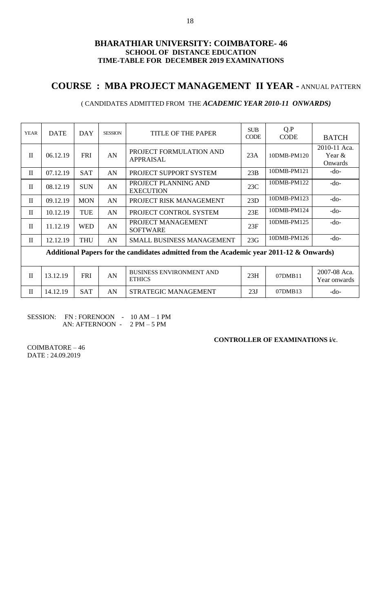# **COURSE : MBA PROJECT MANAGEMENT II YEAR -** ANNUAL PATTERN

## ( CANDIDATES ADMITTED FROM THE *ACADEMIC YEAR 2010-11 ONWARDS)*

| <b>YEAR</b>  | <b>DATE</b> | <b>DAY</b> | <b>SESSION</b> | <b>TITLE OF THE PAPER</b>                                                               | <b>SUB</b><br><b>CODE</b> | Q.P<br><b>CODE</b> | <b>BATCH</b>                         |
|--------------|-------------|------------|----------------|-----------------------------------------------------------------------------------------|---------------------------|--------------------|--------------------------------------|
| $\mathbf{I}$ | 06.12.19    | <b>FRI</b> | AN             | PROJECT FORMULATION AND<br><b>APPRAISAL</b>                                             | 23A                       | 10DMB-PM120        | 2010-11 Aca.<br>Year $\&$<br>Onwards |
| $\mathbf{I}$ | 07.12.19    | <b>SAT</b> | AN             | PROJECT SUPPORT SYSTEM                                                                  | 23B                       | 10DMB-PM121        | $-do-$                               |
| $\mathbf{I}$ | 08.12.19    | <b>SUN</b> | AN             | PROJECT PLANNING AND<br><b>EXECUTION</b>                                                | 23C                       | 10DMB-PM122        | $-do-$                               |
| $\mathbf{I}$ | 09.12.19    | <b>MON</b> | AN             | PROJECT RISK MANAGEMENT                                                                 | 23D                       | 10DMB-PM123        | $-do-$                               |
| $\mathbf{I}$ | 10.12.19    | <b>TUE</b> | AN             | PROJECT CONTROL SYSTEM                                                                  | 23E                       | 10DMB-PM124        | $-do-$                               |
| $\mathbf{I}$ | 11.12.19    | <b>WED</b> | AN             | PROJECT MANAGEMENT<br><b>SOFTWARE</b>                                                   | 23F                       | 10DMB-PM125        | $-do-$                               |
| $\mathbf{I}$ | 12.12.19    | <b>THU</b> | AN             | SMALL BUSINESS MANAGEMENT                                                               | 23G                       | 10DMB-PM126        | $-do-$                               |
|              |             |            |                | Additional Papers for the candidates admitted from the Academic year 2011-12 & Onwards) |                           |                    |                                      |
|              |             |            |                |                                                                                         |                           |                    |                                      |
| $\mathbf{I}$ | 13.12.19    | <b>FRI</b> | AN             | <b>BUSINESS ENVIRONMENT AND</b><br><b>ETHICS</b>                                        | 23H                       | 07DMB11            | 2007-08 Aca.<br>Year onwards         |
| $\mathbf{I}$ | 14.12.19    | <b>SAT</b> | AN             | STRATEGIC MANAGEMENT                                                                    | 23J                       | 07DMB13            | -do-                                 |

| <b>SESSION:</b> | FN : FORENOON - | $10 AM - 1 PM$ |
|-----------------|-----------------|----------------|
|                 | AN: AFTERNOON - | $2 PM - 5 PM$  |

#### **CONTROLLER OF EXAMINATIONS i/c**.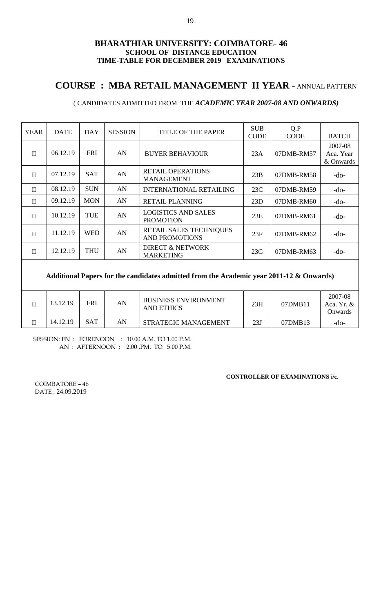# **COURSE : MBA RETAIL MANAGEMENT II YEAR -** ANNUAL PATTERN

## ( CANDIDATES ADMITTED FROM THE *ACADEMIC YEAR 2007-08 AND ONWARDS)*

| 06.12.19<br><b>FRI</b><br>AN<br>$\mathbf{I}$<br><b>BUYER BEHAVIOUR</b><br>23A<br>07DMB-RM57<br><b>RETAIL OPERATIONS</b><br><b>SAT</b><br>AN<br>07.12.19<br>23B<br>$\mathbf{I}$<br>07DMB-RM58<br><b>MANAGEMENT</b><br><b>SUN</b><br>08.12.19<br>AN<br>$\mathbf{I}$<br><b>INTERNATIONAL RETAILING</b><br>23C<br>07DMB-RM59<br><b>MON</b><br>09.12.19<br>AN<br>$\mathbf{I}$<br><b>RETAIL PLANNING</b><br>23D<br>07DMB-RM60 | <b>BATCH</b>                      |
|-------------------------------------------------------------------------------------------------------------------------------------------------------------------------------------------------------------------------------------------------------------------------------------------------------------------------------------------------------------------------------------------------------------------------|-----------------------------------|
|                                                                                                                                                                                                                                                                                                                                                                                                                         | 2007-08<br>Aca. Year<br>& Onwards |
|                                                                                                                                                                                                                                                                                                                                                                                                                         | $-do-$                            |
|                                                                                                                                                                                                                                                                                                                                                                                                                         | $-do-$                            |
|                                                                                                                                                                                                                                                                                                                                                                                                                         | $-do-$                            |
| <b>LOGISTICS AND SALES</b><br><b>TUE</b><br>AN<br>10.12.19<br>$\mathbf{I}$<br>23E<br>07DMB-RM61<br><b>PROMOTION</b>                                                                                                                                                                                                                                                                                                     | $-do-$                            |
| <b>RETAIL SALES TECHNIQUES</b><br>11.12.19<br><b>WED</b><br>AN<br>$\mathbf{I}$<br>23F<br>07DMB-RM62<br><b>AND PROMOTIONS</b>                                                                                                                                                                                                                                                                                            | $-do-$                            |
| DIRECT & NETWORK<br><b>THU</b><br>12.12.19<br>AN<br>$\mathbf{I}$<br>23G<br>07DMB-RM63<br><b>MARKETING</b>                                                                                                                                                                                                                                                                                                               | $-do-$                            |

### **Additional Papers for the candidates admitted from the Academic year 2011-12 & Onwards)**

| 13.12.19 | FRI        | AN | <b>BUSINESS ENVIRONMENT</b><br>AND ETHICS | 23H | 07DMB11 | 2007-08<br>Aca, Yr. $\&$<br>Onwards |
|----------|------------|----|-------------------------------------------|-----|---------|-------------------------------------|
| 14.12.19 | <b>SAT</b> | AN | STRATEGIC MANAGEMENT                      | 23J | 07DMB13 | -do-                                |

SESSION: FN : FORENOON : 10.00 A.M. TO 1.00 P.M. AN : AFTERNOON : 2.00 .PM. TO 5.00 P.M.

**CONTROLLER OF EXAMINATIONS i/c.**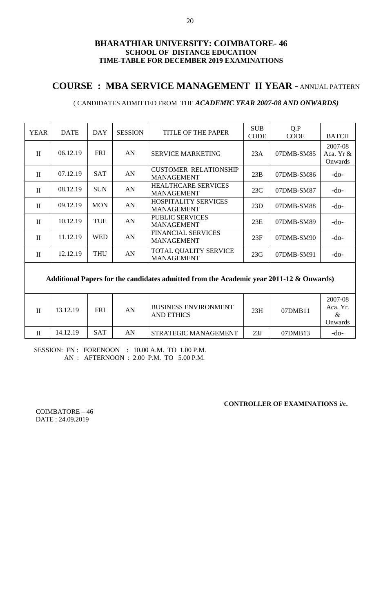# **COURSE : MBA SERVICE MANAGEMENT II YEAR -** ANNUAL PATTERN

## ( CANDIDATES ADMITTED FROM THE *ACADEMIC YEAR 2007-08 AND ONWARDS)*

| <b>YEAR</b>  | <b>DATE</b> | DAY        | <b>SESSION</b> | TITLE OF THE PAPER                                | <b>SUB</b><br><b>CODE</b> | Q.P<br><b>CODE</b> | <b>BATCH</b>                    |
|--------------|-------------|------------|----------------|---------------------------------------------------|---------------------------|--------------------|---------------------------------|
| $\mathbf{I}$ | 06.12.19    | <b>FRI</b> | AN             | SERVICE MARKETING                                 | 23A                       | 07DMB-SM85         | 2007-08<br>Aca. Yr &<br>Onwards |
| $\mathbf{I}$ | 07.12.19    | <b>SAT</b> | AN             | <b>CUSTOMER RELATIONSHIP</b><br><b>MANAGEMENT</b> | 23B                       | 07DMB-SM86         | -do-                            |
| $\mathbf{I}$ | 08.12.19    | <b>SUN</b> | AN             | <b>HEALTHCARE SERVICES</b><br><b>MANAGEMENT</b>   | 23C                       | 07DMB-SM87         | $-do-$                          |
| $\mathbf{I}$ | 09.12.19    | <b>MON</b> | AN             | <b>HOSPITALITY SERVICES</b><br><b>MANAGEMENT</b>  | 23D                       | 07DMB-SM88         | $-do-$                          |
| $\Pi$        | 10.12.19    | <b>TUE</b> | AN             | <b>PUBLIC SERVICES</b><br><b>MANAGEMENT</b>       | 23E                       | 07DMB-SM89         | $-do-$                          |
| $\mathbf{I}$ | 11.12.19    | <b>WED</b> | AN             | <b>FINANCIAL SERVICES</b><br><b>MANAGEMENT</b>    | 23F                       | 07DMB-SM90         | $-do-$                          |
| $\mathbf{I}$ | 12.12.19    | <b>THU</b> | AN             | TOTAL QUALITY SERVICE<br><b>MANAGEMENT</b>        | 23G                       | 07DMB-SM91         | $-do-$                          |

### **Additional Papers for the candidates admitted from the Academic year 2011-12 & Onwards)**

| 13.12.19 | FRI        | AN | <b>BUSINESS ENVIRONMENT</b><br><b>AND ETHICS</b> | 23H | 07DMB11 | 2007-08<br>Aca. Yr.<br>&<br>Onwards |
|----------|------------|----|--------------------------------------------------|-----|---------|-------------------------------------|
| 14.12.19 | <b>SAT</b> | AN | STRATEGIC MANAGEMENT                             | 23J | 07DMB13 | -do-                                |

SESSION: FN : FORENOON : 10.00 A.M. TO 1.00 P.M. AN : AFTERNOON : 2.00 P.M. TO 5.00 P.M.

**CONTROLLER OF EXAMINATIONS i/c.**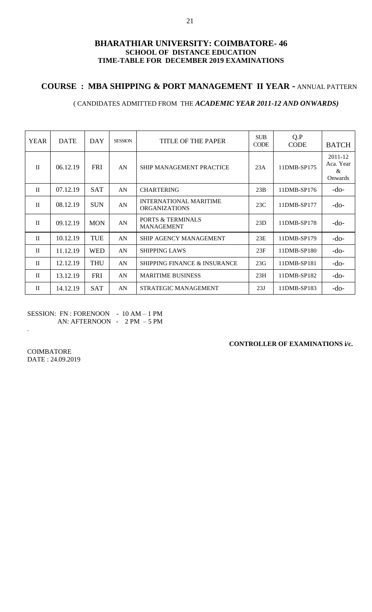## **COURSE : MBA SHIPPING & PORT MANAGEMENT II YEAR -** ANNUAL PATTERN

### ( CANDIDATES ADMITTED FROM THE *ACADEMIC YEAR 2011-12 AND ONWARDS)*

| <b>YEAR</b>  | <b>DATE</b> | DAY        | <b>SESSION</b> | TITLE OF THE PAPER                                    | <b>SUB</b><br><b>CODE</b> | Q.P<br><b>CODE</b> | <b>BATCH</b>                         |
|--------------|-------------|------------|----------------|-------------------------------------------------------|---------------------------|--------------------|--------------------------------------|
| $\mathbf{H}$ | 06.12.19    | <b>FRI</b> | AN             | <b>SHIP MANAGEMENT PRACTICE</b>                       | 23A                       | 11DMB-SP175        | 2011-12<br>Aca. Year<br>&<br>Onwards |
| $\mathbf{H}$ | 07.12.19    | <b>SAT</b> | AN             | <b>CHARTERING</b>                                     | 23B                       | 11DMB-SP176        | $-do-$                               |
| $\mathbf{H}$ | 08.12.19    | <b>SUN</b> | AN             | <b>INTERNATIONAL MARITIME</b><br><b>ORGANIZATIONS</b> | 23C                       | 11DMB-SP177        | $-do-$                               |
| $\mathbf{I}$ | 09.12.19    | <b>MON</b> | AN             | <b>PORTS &amp; TERMINALS</b><br><b>MANAGEMENT</b>     | 23D                       | 11DMB-SP178        | $-do-$                               |
| $\mathbf{H}$ | 10.12.19    | <b>TUE</b> | AN             | <b>SHIP AGENCY MANAGEMENT</b>                         | 23E                       | 11DMB-SP179        | $-do-$                               |
| $\mathbf{H}$ | 11.12.19    | <b>WED</b> | AN             | <b>SHIPPING LAWS</b>                                  | 23F                       | 11DMB-SP180        | -do-                                 |
| $\mathbf{H}$ | 12.12.19    | <b>THU</b> | AN             | <b>SHIPPING FINANCE &amp; INSURANCE</b>               | 23G                       | 11DMB-SP181        | $-do-$                               |
| $\mathbf{H}$ | 13.12.19    | <b>FRI</b> | AN             | <b>MARITIME BUSINESS</b>                              | 23H                       | 11DMB-SP182        | $-do-$                               |
| $\mathbf{I}$ | 14.12.19    | <b>SAT</b> | AN             | STRATEGIC MANAGEMENT                                  | 23J                       | 11DMB-SP183        | -do-                                 |

SESSION: FN : FORENOON - 10 AM - 1 PM AN: AFTERNOON - 2 PM – 5 PM

**CONTROLLER OF EXAMINATIONS i/c.**

**COIMBATORE** DATE : 24.09.2019

.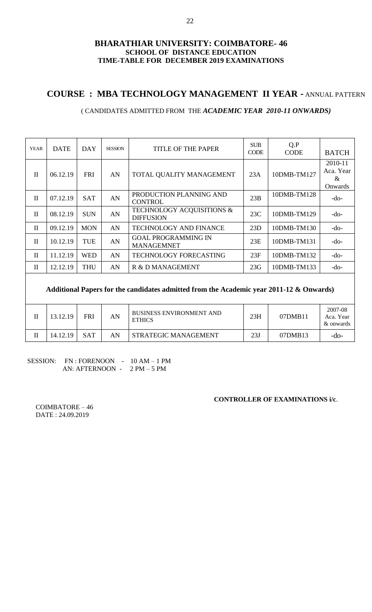# **COURSE : MBA TECHNOLOGY MANAGEMENT II YEAR -** ANNUAL PATTERN

### ( CANDIDATES ADMITTED FROM THE *ACADEMIC YEAR 2010-11 ONWARDS)*

| <b>YEAR</b>  | <b>DATE</b> | DAY        | <b>SESSION</b> | TITLE OF THE PAPER                              | <b>SUB</b><br><b>CODE</b> | Q.P<br><b>CODE</b> | <b>BATCH</b>                         |
|--------------|-------------|------------|----------------|-------------------------------------------------|---------------------------|--------------------|--------------------------------------|
| $\Pi$        | 06.12.19    | <b>FRI</b> | AN             | TOTAL QUALITY MANAGEMENT                        | 23A                       | 10DMB-TM127        | 2010-11<br>Aca. Year<br>&<br>Onwards |
| $\Pi$        | 07.12.19    | <b>SAT</b> | AN             | PRODUCTION PLANNING AND<br><b>CONTROL</b>       | 23B                       | 10DMB-TM128        | $-do-$                               |
| $\mathbf{I}$ | 08.12.19    | <b>SUN</b> | AN             | TECHNOLOGY ACQUISITIONS &<br><b>DIFFUSION</b>   | 23C                       | 10DMB-TM129        | $-do-$                               |
| $\mathbf{I}$ | 09.12.19    | <b>MON</b> | AN             | <b>TECHNOLOGY AND FINANCE</b>                   | 23D                       | 10DMB-TM130        | $-do-$                               |
| $\mathbf{I}$ | 10.12.19    | <b>TUE</b> | AN             | <b>GOAL PROGRAMMING IN</b><br><b>MANAGEMNET</b> | 23E                       | 10DMB-TM131        | $-do-$                               |
| $\mathbf{I}$ | 11.12.19    | <b>WED</b> | AN             | TECHNOLOGY FORECASTING                          | 23F                       | 10DMB-TM132        | $-do-$                               |
| $\rm II$     | 12.12.19    | <b>THU</b> | AN             | R & D MANAGEMENT                                | 23G                       | 10DMB-TM133        | $-do-$                               |
|              |             |            |                |                                                 |                           |                    |                                      |

### **Additional Papers for the candidates admitted from the Academic year 2011-12 & Onwards)**

| 13.12.19 | FRI        | AN | <b>BUSINESS ENVIRONMENT AND</b><br><b>ETHICS</b> | 23H | 07DMB11 | 2007-08<br>Aca. Year<br>& onwards |
|----------|------------|----|--------------------------------------------------|-----|---------|-----------------------------------|
| 14.12.19 | <b>SAT</b> | AN | STRATEGIC MANAGEMENT                             | 23J | 07DMB13 | -do-                              |

### SESSION: FN : FORENOON - 10 AM - 1 PM AN: AFTERNOON - 2 PM – 5 PM

#### **CONTROLLER OF EXAMINATIONS i/c**.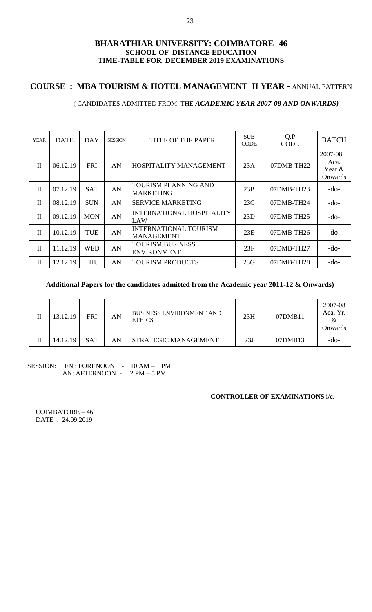# **COURSE : MBA TOURISM & HOTEL MANAGEMENT II YEAR -** ANNUAL PATTERN

### ( CANDIDATES ADMITTED FROM THE *ACADEMIC YEAR 2007-08 AND ONWARDS)*

| <b>YEAR</b>  | <b>DATE</b> | DAY        | <b>SESSION</b> | TITLE OF THE PAPER                                | <b>SUB</b><br><b>CODE</b> | Q.P<br><b>CODE</b> | <b>BATCH</b>                            |
|--------------|-------------|------------|----------------|---------------------------------------------------|---------------------------|--------------------|-----------------------------------------|
| $\mathbf{I}$ | 06.12.19    | <b>FRI</b> | AN             | HOSPITALITY MANAGEMENT                            | 23A                       | $07$ DMB-TH $22$   | 2007-08<br>Aca.<br>Year $\&$<br>Onwards |
| $\mathbf{I}$ | 07.12.19    | <b>SAT</b> | AN             | <b>TOURISM PLANNING AND</b><br><b>MARKETING</b>   | 23B                       | $07$ DMB-TH $23$   | -do-                                    |
| $\mathbf{I}$ | 08.12.19    | <b>SUN</b> | AN             | <b>SERVICE MARKETING</b>                          | 23C                       | $07$ DMB-TH $24$   | $-do-$                                  |
| $\mathbf{I}$ | 09.12.19    | <b>MON</b> | AN             | <b>INTERNATIONAL HOSPITALITY</b><br>LAW           | 23D                       | $07$ DMB-TH $25$   | -do-                                    |
| $\mathbf{I}$ | 10.12.19    | TUE        | AN             | <b>INTERNATIONAL TOURISM</b><br><b>MANAGEMENT</b> | 23E                       | $07$ DMB-TH $26$   | $-do-$                                  |
| $\mathbf{I}$ | 11.12.19    | <b>WED</b> | AN             | <b>TOURISM BUSINESS</b><br><b>ENVIRONMENT</b>     | 23F                       | $07$ DMB-TH $27$   | $-do-$                                  |
| $\mathbf{I}$ | 12.12.19    | <b>THU</b> | AN             | <b>TOURISM PRODUCTS</b>                           | 23G                       | 07DMB-TH28         | -do-                                    |

**Additional Papers for the candidates admitted from the Academic year 2011-12 & Onwards)**

| П | 13.12.19 | <b>FRI</b> | AN | <b>BUSINESS ENVIRONMENT AND</b><br><b>ETHICS</b> | 23H | 07DMB11 | 2007-08<br>Aca. Yr.<br>Onwards |
|---|----------|------------|----|--------------------------------------------------|-----|---------|--------------------------------|
|   | 14.12.19 | <b>SAT</b> | AN | STRATEGIC MANAGEMENT                             | 23J | 07DMB13 | -do-                           |

### SESSION: FN : FORENOON - 10 AM - 1 PM AN: AFTERNOON - 2 PM – 5 PM

#### **CONTROLLER OF EXAMINATIONS i/c**.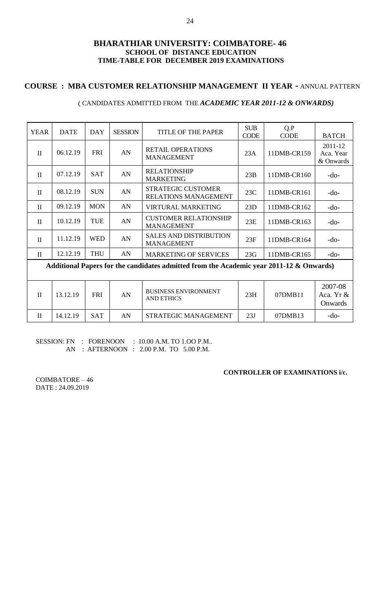## **COURSE : MBA CUSTOMER RELATIONSHIP MANAGEMENT II YEAR -** ANNUAL PATTERN

### ( CANDIDATES ADMITTED FROM THE *ACADEMIC YEAR 2011-12 & ONWARDS)*

| <b>YEAR</b>  | <b>DATE</b> | <b>DAY</b> | <b>SESSION</b> | <b>TITLE OF THE PAPER</b>                                                               | <b>SUB</b>  | Q.P         |                                   |  |  |
|--------------|-------------|------------|----------------|-----------------------------------------------------------------------------------------|-------------|-------------|-----------------------------------|--|--|
|              |             |            |                |                                                                                         | <b>CODE</b> | <b>CODE</b> | <b>BATCH</b>                      |  |  |
| $\rm II$     | 06.12.19    | <b>FRI</b> | AN             | <b>RETAIL OPERATIONS</b><br><b>MANAGEMENT</b>                                           | 23A         | 11DMB-CR159 | 2011-12<br>Aca. Year<br>& Onwards |  |  |
| $\mathbf{I}$ | 07.12.19    | <b>SAT</b> | AN             | <b>RELATIONSHIP</b><br><b>MARKETING</b>                                                 | 23B         | 11DMB-CR160 | $-do-$                            |  |  |
| $\mathbf{I}$ | 08.12.19    | <b>SUN</b> | AN             | STRATEGIC CUSTOMER<br>RELATIONS MANAGEMENT                                              | 23C         | 11DMB-CR161 | $-do-$                            |  |  |
| $\rm II$     | 09.12.19    | <b>MON</b> | AN             | <b>VIRTURAL MARKETING</b>                                                               | 23D         | 11DMB-CR162 | $-do-$                            |  |  |
| $\mathbf{I}$ | 10.12.19    | TUE        | AN             | <b>CUSTOMER RELATIONSHIP</b><br><b>MANAGEMENT</b>                                       | 23E         | 11DMB-CR163 | $-do-$                            |  |  |
| $\mathbf{H}$ | 11.12.19    | <b>WED</b> | AN             | <b>SALES AND DISTRIBUTION</b><br><b>MANAGEMENT</b>                                      | 23F         | 11DMB-CR164 | $-do-$                            |  |  |
| $\mathbf{I}$ | 12.12.19    | <b>THU</b> | AN             | <b>MARKETING OF SERVICES</b>                                                            | 23G         | 11DMB-CR165 | $-do-$                            |  |  |
|              |             |            |                | Additional Papers for the candidates admitted from the Academic year 2011-12 & Onwards) |             |             |                                   |  |  |
|              |             |            |                |                                                                                         |             |             |                                   |  |  |
| $\mathbf{I}$ | 13.12.19    | <b>FRI</b> | AN             | <b>BUSINESS ENVIRONMENT</b><br><b>AND ETHICS</b>                                        | 23H         | 07DMB11     | 2007-08<br>Aca. Yr &<br>Onwards   |  |  |
| $\mathbf{I}$ | 14.12.19    | <b>SAT</b> | AN             | STRATEGIC MANAGEMENT                                                                    | 23J         | 07DMB13     | $-do-$                            |  |  |

SESSION: FN : FORENOON : 10.00 A.M. TO 1.00 P.M.. AN : AFTERNOON : 2.00 P.M. TO 5.00 P.M.

**CONTROLLER OF EXAMINATIONS i/c.**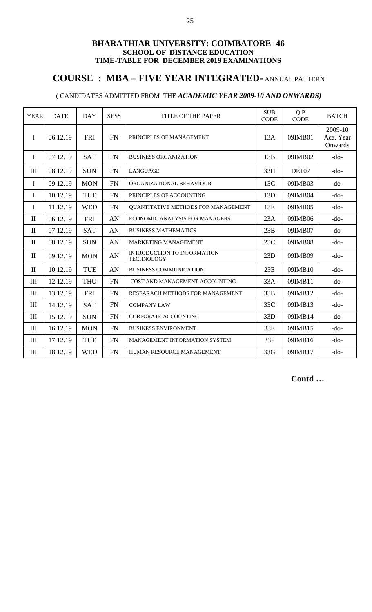## **COURSE : MBA – FIVE YEAR INTEGRATED-** ANNUAL PATTERN

## ( CANDIDATES ADMITTED FROM THE *ACADEMIC YEAR 2009-10 AND ONWARDS)*

| <b>YEAR</b>                      | <b>DATE</b> | <b>DAY</b> | <b>SESS</b> | <b>TITLE OF THE PAPER</b>                               | <b>SUB</b><br><b>CODE</b> | Q.P<br><b>CODE</b> | <b>BATCH</b>                    |
|----------------------------------|-------------|------------|-------------|---------------------------------------------------------|---------------------------|--------------------|---------------------------------|
| $\mathbf I$                      | 06.12.19    | <b>FRI</b> | <b>FN</b>   | PRINCIPLES OF MANAGEMENT                                | 13A                       | 09IMB01            | 2009-10<br>Aca. Year<br>Onwards |
| I                                | 07.12.19    | <b>SAT</b> | <b>FN</b>   | <b>BUSINESS ORGANIZATION</b>                            | 13B                       | 09IMB02            | $-do-$                          |
| III                              | 08.12.19    | <b>SUN</b> | <b>FN</b>   | <b>LANGUAGE</b>                                         | 33H                       | <b>DE107</b>       | $-do-$                          |
| $\mathbf I$                      | 09.12.19    | <b>MON</b> | <b>FN</b>   | ORGANIZATIONAL BEHAVIOUR                                | 13C                       | 09IMB03            | $-do-$                          |
| $\mathbf I$                      | 10.12.19    | <b>TUE</b> | <b>FN</b>   | PRINCIPLES OF ACCOUNTING                                | 13D                       | 09IMB04            | $-do-$                          |
| I                                | 11.12.19    | <b>WED</b> | <b>FN</b>   | <b>OUANTITATIVE METHODS FOR MANAGEMENT</b>              | 13E                       | 09IMB05            | $-do-$                          |
| $\mathbf{I}$                     | 06.12.19    | <b>FRI</b> | AN          | ECONOMIC ANALYSIS FOR MANAGERS                          | 23A                       | 09IMB06            | $-do-$                          |
| $\mathbf{I}$                     | 07.12.19    | <b>SAT</b> | AN          | <b>BUSINESS MATHEMATICS</b>                             | 23B                       | 09IMB07            | $-do-$                          |
| $\mathbf{I}$                     | 08.12.19    | <b>SUN</b> | AN          | <b>MARKETING MANAGEMENT</b>                             | 23C                       | 09IMB08            | $-do-$                          |
| $\mathbf{I}$                     | 09.12.19    | <b>MON</b> | AN          | <b>INTRODUCTION TO INFORMATION</b><br><b>TECHNOLOGY</b> | 23D                       | 09IMB09            | $-do-$                          |
| $\mathbf{I}$                     | 10.12.19    | <b>TUE</b> | AN          | <b>BUSINESS COMMUNICATION</b>                           | 23E                       | 09IMB10            | $-do-$                          |
| $\rm III$                        | 12.12.19    | <b>THU</b> | <b>FN</b>   | COST AND MANAGEMENT ACCOUNTING                          | 33A                       | 09IMB11            | $-do-$                          |
| III                              | 13.12.19    | <b>FRI</b> | <b>FN</b>   | RESEARACH METHODS FOR MANAGEMENT                        | 33B                       | 09IMB12            | $-do-$                          |
| III                              | 14.12.19    | <b>SAT</b> | <b>FN</b>   | <b>COMPANY LAW</b>                                      | 33C                       | 09IMB13            | $-do-$                          |
| $\mathop{\mathrm{III}}\nolimits$ | 15.12.19    | <b>SUN</b> | FN          | <b>CORPORATE ACCOUNTING</b>                             | 33D                       | 09IMB14            | $-do-$                          |
| III                              | 16.12.19    | <b>MON</b> | <b>FN</b>   | <b>BUSINESS ENVIRONMENT</b>                             | 33E                       | 09IMB15            | $-do-$                          |
| III                              | 17.12.19    | <b>TUE</b> | <b>FN</b>   | MANAGEMENT INFORMATION SYSTEM                           | 33F                       | 09IMB16            | $-do-$                          |
| III                              | 18.12.19    | <b>WED</b> | <b>FN</b>   | HUMAN RESOURCE MANAGEMENT                               | 33G                       | 09IMB17            | $-do-$                          |

 **Contd …**